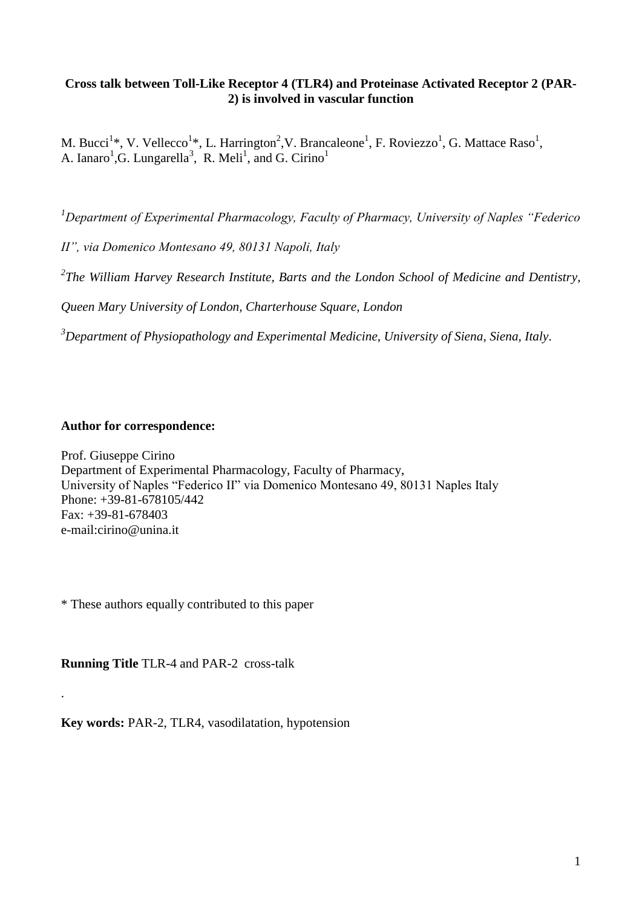# **Cross talk between Toll-Like Receptor 4 (TLR4) and Proteinase Activated Receptor 2 (PAR-2) is involved in vascular function**

M. Bucci<sup>1</sup>\*, V. Vellecco<sup>1</sup>\*, L. Harrington<sup>2</sup>, V. Brancaleone<sup>1</sup>, F. Roviezzo<sup>1</sup>, G. Mattace Raso<sup>1</sup>, A. Ianaro<sup>1</sup>, G. Lungarella<sup>3</sup>, R. Meli<sup>1</sup>, and G. Cirino<sup>1</sup>

*<sup>1</sup>Department of Experimental Pharmacology, Faculty of Pharmacy, University of Naples "Federico* 

*II", via Domenico Montesano 49, 80131 Napoli, Italy*

*2 The William Harvey Research Institute, Barts and the London School of Medicine and Dentistry,* 

*Queen Mary University of London, Charterhouse Square, London*

*<sup>3</sup>Department of Physiopathology and Experimental Medicine, University of Siena, Siena, Italy*.

# **Author for correspondence:**

Prof. Giuseppe Cirino Department of Experimental Pharmacology, Faculty of Pharmacy, University of Naples "Federico II" via Domenico Montesano 49, 80131 Naples Italy Phone: +39-81-678105/442 Fax: +39-81-678403 e-mail:cirino@unina.it

\* These authors equally contributed to this paper

**Running Title** TLR-4 and PAR-2 cross-talk

.

**Key words:** PAR-2, TLR4, vasodilatation, hypotension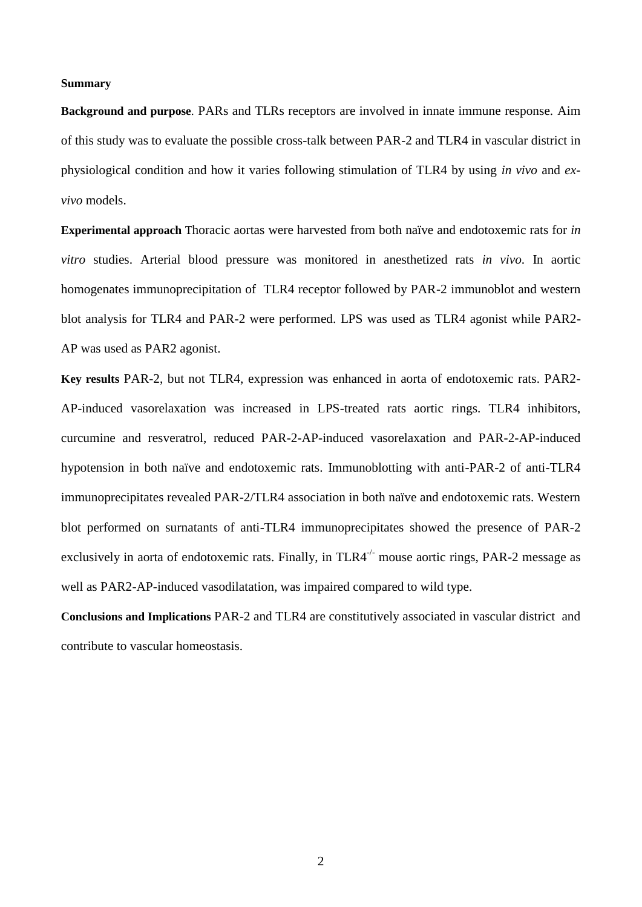#### **Summary**

**Background and purpose**. PARs and TLRs receptors are involved in innate immune response. Aim of this study was to evaluate the possible cross-talk between PAR-2 and TLR4 in vascular district in physiological condition and how it varies following stimulation of TLR4 by using *in vivo* and *exvivo* models.

**Experimental approach** Thoracic aortas were harvested from both naïve and endotoxemic rats for *in vitro* studies. Arterial blood pressure was monitored in anesthetized rats *in vivo*. In aortic homogenates immunoprecipitation of TLR4 receptor followed by PAR-2 immunoblot and western blot analysis for TLR4 and PAR-2 were performed. LPS was used as TLR4 agonist while PAR2- AP was used as PAR2 agonist.

**Key results** PAR-2, but not TLR4, expression was enhanced in aorta of endotoxemic rats. PAR2- AP-induced vasorelaxation was increased in LPS-treated rats aortic rings. TLR4 inhibitors, curcumine and resveratrol, reduced PAR-2-AP-induced vasorelaxation and PAR-2-AP-induced hypotension in both naïve and endotoxemic rats. Immunoblotting with anti-PAR-2 of anti-TLR4 immunoprecipitates revealed PAR-2/TLR4 association in both naïve and endotoxemic rats. Western blot performed on surnatants of anti-TLR4 immunoprecipitates showed the presence of PAR-2 exclusively in aorta of endotoxemic rats. Finally, in  $TLR4^{-/-}$  mouse aortic rings, PAR-2 message as well as PAR2-AP-induced vasodilatation, was impaired compared to wild type.

**Conclusions and Implications** PAR-2 and TLR4 are constitutively associated in vascular district and contribute to vascular homeostasis.

2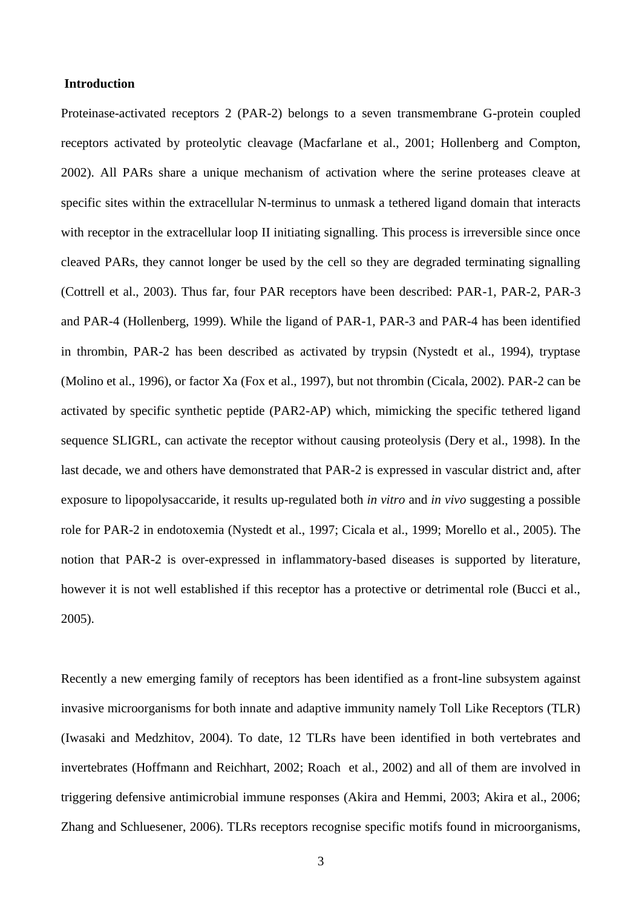# **Introduction**

Proteinase-activated receptors 2 (PAR-2) belongs to a seven transmembrane G-protein coupled receptors activated by proteolytic cleavage (Macfarlane et al., 2001; Hollenberg and Compton, 2002). All PARs share a unique mechanism of activation where the serine proteases cleave at specific sites within the extracellular N-terminus to unmask a tethered ligand domain that interacts with receptor in the extracellular loop II initiating signalling. This process is irreversible since once cleaved PARs, they cannot longer be used by the cell so they are degraded terminating signalling (Cottrell et al., 2003). Thus far, four PAR receptors have been described: PAR-1, PAR-2, PAR-3 and PAR-4 (Hollenberg, 1999). While the ligand of PAR-1, PAR-3 and PAR-4 has been identified in thrombin, PAR-2 has been described as activated by trypsin (Nystedt et al., 1994), tryptase (Molino et al., 1996), or factor Xa (Fox et al., 1997), but not thrombin (Cicala, 2002). PAR-2 can be activated by specific synthetic peptide (PAR2-AP) which, mimicking the specific tethered ligand sequence SLIGRL, can activate the receptor without causing proteolysis (Dery et al., 1998). In the last decade, we and others have demonstrated that PAR-2 is expressed in vascular district and, after exposure to lipopolysaccaride, it results up-regulated both *in vitro* and *in vivo* suggesting a possible role for PAR-2 in endotoxemia (Nystedt et al., 1997; Cicala et al., 1999; Morello et al., 2005). The notion that PAR-2 is over-expressed in inflammatory-based diseases is supported by literature, however it is not well established if this receptor has a protective or detrimental role (Bucci et al., 2005).

Recently a new emerging family of receptors has been identified as a front-line subsystem against invasive microorganisms for both innate and adaptive immunity namely Toll Like Receptors (TLR) (Iwasaki and Medzhitov, 2004). To date, 12 TLRs have been identified in both vertebrates and invertebrates (Hoffmann and Reichhart, 2002; Roach et al., 2002) and all of them are involved in triggering defensive antimicrobial immune responses (Akira and Hemmi, 2003; Akira et al., 2006; Zhang and Schluesener, 2006). TLRs receptors recognise specific motifs found in microorganisms,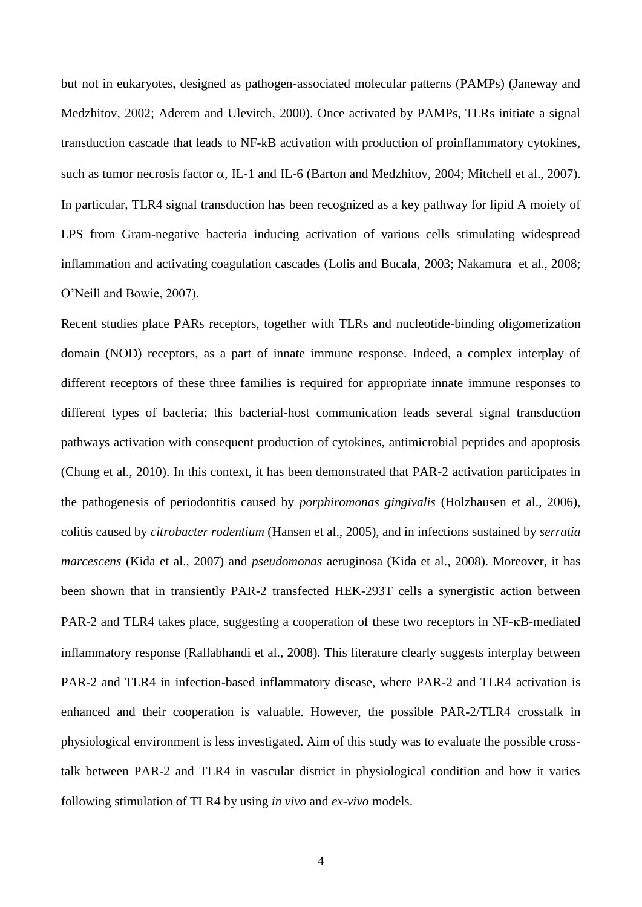but not in eukaryotes, designed as pathogen-associated molecular patterns (PAMPs) (Janeway and Medzhitov, 2002; Aderem and Ulevitch, 2000). Once activated by PAMPs, TLRs initiate a signal transduction cascade that leads to NF-kB activation with production of proinflammatory cytokines, such as tumor necrosis factor  $\alpha$ , IL-1 and IL-6 (Barton and Medzhitov, 2004; Mitchell et al., 2007). In particular, TLR4 signal transduction has been recognized as a key pathway for lipid A moiety of LPS from Gram-negative bacteria inducing activation of various cells stimulating widespread inflammation and activating coagulation cascades (Lolis and Bucala, 2003; Nakamura et al., 2008; O'Neill and Bowie, 2007).

Recent studies place PARs receptors, together with TLRs and nucleotide-binding oligomerization domain (NOD) receptors, as a part of innate immune response. Indeed, a complex interplay of different receptors of these three families is required for appropriate innate immune responses to different types of bacteria; this bacterial-host communication leads several signal transduction pathways activation with consequent production of cytokines, antimicrobial peptides and apoptosis (Chung et al., 2010). In this context, it has been demonstrated that PAR-2 activation participates in the pathogenesis of periodontitis caused by *porphiromonas gingivalis* (Holzhausen et al., 2006), colitis caused by *citrobacter rodentium* (Hansen et al., 2005), and in infections sustained by *serratia marcescens* (Kida et al., 2007) and *pseudomonas* aeruginosa (Kida et al., 2008). Moreover, it has been shown that in transiently PAR-2 transfected HEK-293T cells a synergistic action between PAR-2 and TLR4 takes place, suggesting a cooperation of these two receptors in NF- $\kappa$ B-mediated inflammatory response (Rallabhandi et al., 2008). This literature clearly suggests interplay between PAR-2 and TLR4 in infection-based inflammatory disease, where PAR-2 and TLR4 activation is enhanced and their cooperation is valuable. However, the possible PAR-2/TLR4 crosstalk in physiological environment is less investigated. Aim of this study was to evaluate the possible crosstalk between PAR-2 and TLR4 in vascular district in physiological condition and how it varies following stimulation of TLR4 by using *in vivo* and *ex-vivo* models.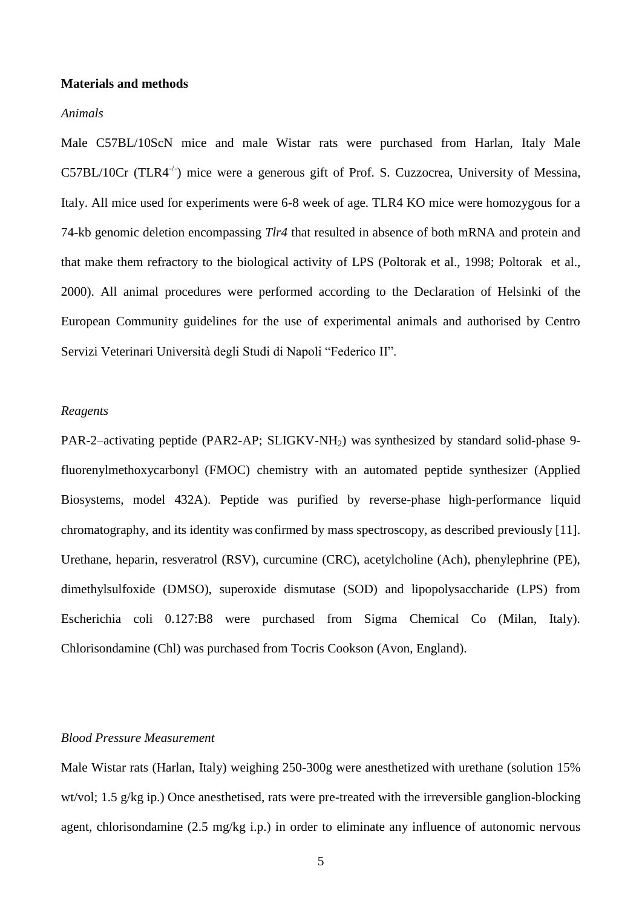#### **Materials and methods**

#### *Animals*

Male C57BL/10ScN mice and male Wistar rats were purchased from Harlan, Italy Male C57BL/10Cr (TLR4<sup>-/-</sup>) mice were a generous gift of Prof. S. Cuzzocrea, University of Messina, Italy. All mice used for experiments were 6-8 week of age. TLR4 KO mice were homozygous for a 74-kb genomic deletion encompassing *Tlr4* that resulted in absence of both mRNA and protein and that make them refractory to the biological activity of LPS (Poltorak et al., 1998; Poltorak et al., 2000). All animal procedures were performed according to the Declaration of Helsinki of the European Community guidelines for the use of experimental animals and authorised by Centro Servizi Veterinari Università degli Studi di Napoli "Federico II".

#### *Reagents*

PAR-2–activating peptide (PAR2-AP; SLIGKV-NH<sub>2</sub>) was synthesized by standard solid-phase 9fluorenylmethoxycarbonyl (FMOC) chemistry with an automated peptide synthesizer (Applied Biosystems, model 432A). Peptide was purified by reverse-phase high-performance liquid chromatography, and its identity was confirmed by mass spectroscopy, as described previously [11]. Urethane, heparin, resveratrol (RSV), curcumine (CRC), acetylcholine (Ach), phenylephrine (PE), dimethylsulfoxide (DMSO), superoxide dismutase (SOD) and lipopolysaccharide (LPS) from Escherichia coli 0.127:B8 were purchased from Sigma Chemical Co (Milan, Italy). Chlorisondamine (Chl) was purchased from Tocris Cookson (Avon, England).

# *Blood Pressure Measurement*

Male Wistar rats (Harlan, Italy) weighing 250-300g were anesthetized with urethane (solution 15% wt/vol; 1.5 g/kg ip.) Once anesthetised, rats were pre-treated with the irreversible ganglion-blocking agent, chlorisondamine (2.5 mg/kg i.p.) in order to eliminate any influence of autonomic nervous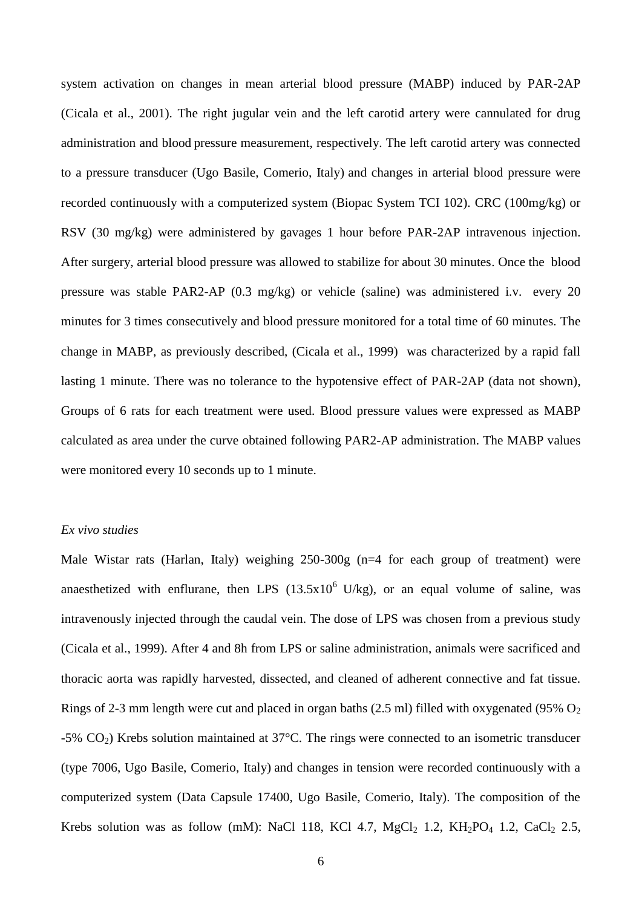system activation on changes in mean arterial blood pressure (MABP) induced by PAR-2AP (Cicala et al., 2001). The right jugular vein and the left carotid artery were cannulated for drug administration and blood pressure measurement, respectively. The left carotid artery was connected to a pressure transducer (Ugo Basile, Comerio, Italy) and changes in arterial blood pressure were recorded continuously with a computerized system (Biopac System TCI 102). CRC (100mg/kg) or RSV (30 mg/kg) were administered by gavages 1 hour before PAR-2AP intravenous injection. After surgery, arterial blood pressure was allowed to stabilize for about 30 minutes. Once the blood pressure was stable PAR2-AP (0.3 mg/kg) or vehicle (saline) was administered i.v. every 20 minutes for 3 times consecutively and blood pressure monitored for a total time of 60 minutes. The change in MABP, as previously described, (Cicala et al., 1999) was characterized by a rapid fall lasting 1 minute. There was no tolerance to the hypotensive effect of PAR-2AP (data not shown), Groups of 6 rats for each treatment were used. Blood pressure values were expressed as MABP calculated as area under the curve obtained following PAR2-AP administration. The MABP values were monitored every 10 seconds up to 1 minute.

#### *Ex vivo studies*

Male Wistar rats (Harlan, Italy) weighing 250-300g (n=4 for each group of treatment) were anaesthetized with enflurane, then LPS  $(13.5x10^6 \text{ U/kg})$ , or an equal volume of saline, was intravenously injected through the caudal vein. The dose of LPS was chosen from a previous study (Cicala et al., 1999). After 4 and 8h from LPS or saline administration, animals were sacrificed and thoracic aorta was rapidly harvested, dissected, and cleaned of adherent connective and fat tissue. Rings of 2-3 mm length were cut and placed in organ baths (2.5 ml) filled with oxygenated (95%  $O_2$ ) -5%  $CO<sub>2</sub>$ ) Krebs solution maintained at 37°C. The rings were connected to an isometric transducer (type 7006, Ugo Basile, Comerio, Italy) and changes in tension were recorded continuously with a computerized system (Data Capsule 17400, Ugo Basile, Comerio, Italy). The composition of the Krebs solution was as follow (mM): NaCl 118, KCl 4.7, MgCl<sub>2</sub> 1.2, KH<sub>2</sub>PO<sub>4</sub> 1.2, CaCl<sub>2</sub> 2.5,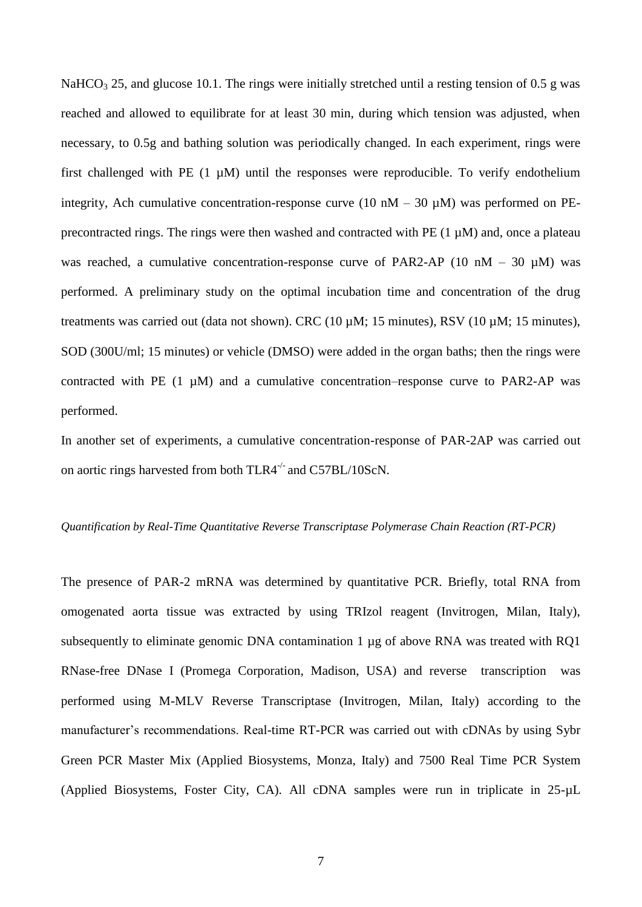NaHCO<sub>3</sub> 25, and glucose 10.1. The rings were initially stretched until a resting tension of 0.5 g was reached and allowed to equilibrate for at least 30 min, during which tension was adjusted, when necessary, to 0.5g and bathing solution was periodically changed. In each experiment, rings were first challenged with PE  $(1 \mu M)$  until the responses were reproducible. To verify endothelium integrity, Ach cumulative concentration-response curve (10 nM – 30  $\mu$ M) was performed on PEprecontracted rings. The rings were then washed and contracted with PE (1 µM) and, once a plateau was reached, a cumulative concentration-response curve of PAR2-AP (10 nM – 30  $\mu$ M) was performed. A preliminary study on the optimal incubation time and concentration of the drug treatments was carried out (data not shown). CRC (10 µM; 15 minutes), RSV (10 µM; 15 minutes), SOD (300U/ml; 15 minutes) or vehicle (DMSO) were added in the organ baths; then the rings were contracted with PE  $(1 \mu M)$  and a cumulative concentration–response curve to PAR2-AP was performed.

In another set of experiments, a cumulative concentration-response of PAR-2AP was carried out on aortic rings harvested from both  $TLR4^{-/-}$  and  $C57BL/10ScN$ .

#### *Quantification by Real-Time Quantitative Reverse Transcriptase Polymerase Chain Reaction (RT-PCR)*

The presence of PAR-2 mRNA was determined by quantitative PCR. Briefly, total RNA from omogenated aorta tissue was extracted by using TRIzol reagent (Invitrogen, Milan, Italy), subsequently to eliminate genomic DNA contamination 1 µg of above RNA was treated with RQ1 RNase-free DNase I (Promega Corporation, Madison, USA) and reverse transcription was performed using M-MLV Reverse Transcriptase (Invitrogen, Milan, Italy) according to the manufacturer's recommendations. Real-time RT-PCR was carried out with cDNAs by using Sybr Green PCR Master Mix (Applied Biosystems, Monza, Italy) and 7500 Real Time PCR System (Applied Biosystems, Foster City, CA). All cDNA samples were run in triplicate in 25-µL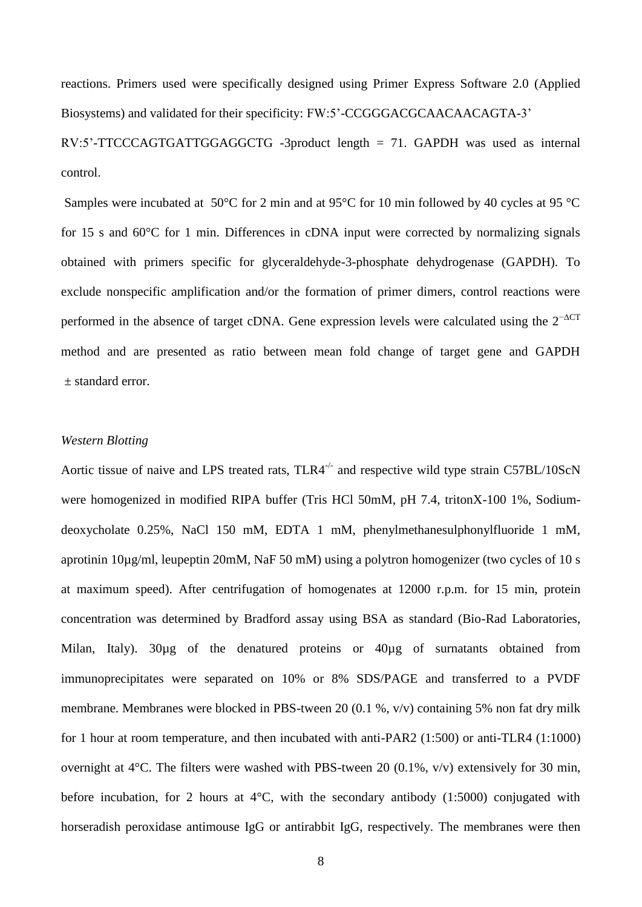reactions. Primers used were specifically designed using Primer Express Software 2.0 (Applied Biosystems) and validated for their specificity: FW:5'-CCGGGACGCAACAACAGTA-3' RV:5'-TTCCCAGTGATTGGAGGCTG -3product length = 71. GAPDH was used as internal

control.

Samples were incubated at 50°C for 2 min and at 95°C for 10 min followed by 40 cycles at 95 °C for 15 s and 60°C for 1 min. Differences in cDNA input were corrected by normalizing signals obtained with primers specific for glyceraldehyde-3-phosphate dehydrogenase (GAPDH). To exclude nonspecific amplification and/or the formation of primer dimers, control reactions were performed in the absence of target cDNA. Gene expression levels were calculated using the  $2^{-\Delta CT}$ method and are presented as ratio between mean fold change of target gene and GAPDH ± standard error.

# *Western Blotting*

Aortic tissue of naive and LPS treated rats,  $TLR4^{-/-}$  and respective wild type strain C57BL/10ScN were homogenized in modified RIPA buffer (Tris HCl 50mM, pH 7.4, tritonX-100 1%, Sodiumdeoxycholate 0.25%, NaCl 150 mM, EDTA 1 mM, phenylmethanesulphonylfluoride 1 mM, aprotinin 10µg/ml, leupeptin 20mM, NaF 50 mM) using a polytron homogenizer (two cycles of 10 s at maximum speed). After centrifugation of homogenates at 12000 r.p.m. for 15 min, protein concentration was determined by Bradford assay using BSA as standard (Bio-Rad Laboratories, Milan, Italy). 30µg of the denatured proteins or 40µg of surnatants obtained from immunoprecipitates were separated on 10% or 8% SDS/PAGE and transferred to a PVDF membrane. Membranes were blocked in PBS-tween 20 (0.1 %, v/v) containing 5% non fat dry milk for 1 hour at room temperature, and then incubated with anti-PAR2 (1:500) or anti-TLR4 (1:1000) overnight at 4°C. The filters were washed with PBS-tween 20 (0.1%, v/v) extensively for 30 min, before incubation, for 2 hours at  $4^{\circ}$ C, with the secondary antibody (1:5000) conjugated with horseradish peroxidase antimouse IgG or antirabbit IgG, respectively. The membranes were then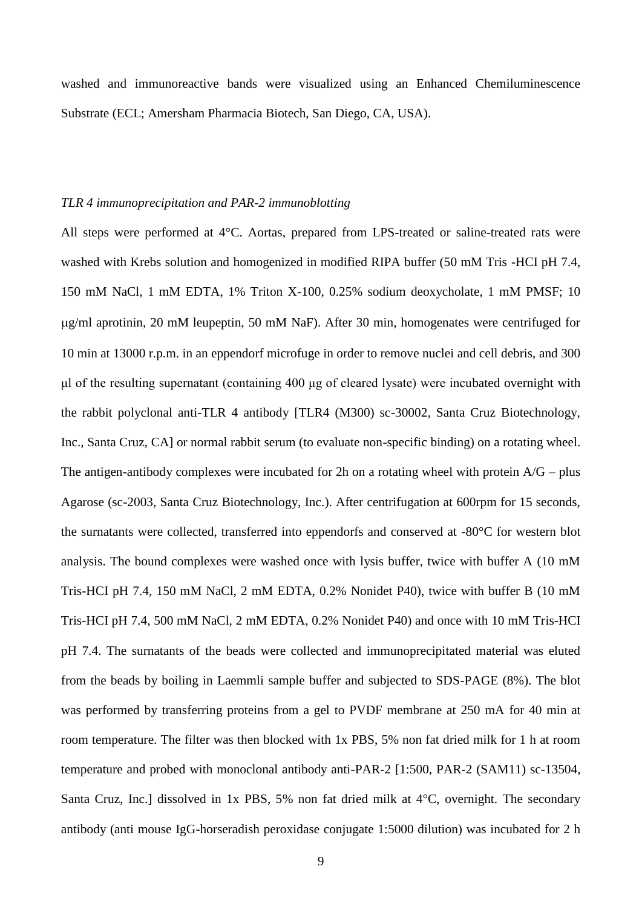washed and immunoreactive bands were visualized using an Enhanced Chemiluminescence Substrate (ECL; Amersham Pharmacia Biotech, San Diego, CA, USA).

#### *TLR 4 immunoprecipitation and PAR-2 immunoblotting*

All steps were performed at 4°C. Aortas, prepared from LPS-treated or saline-treated rats were washed with Krebs solution and homogenized in modified RIPA buffer (50 mM Tris -HCI pH 7.4, 150 mM NaCl, 1 mM EDTA, 1% Triton X-100, 0.25% sodium deoxycholate, 1 mM PMSF; 10 g/ml aprotinin, 20 mM leupeptin, 50 mM NaF). After 30 min, homogenates were centrifuged for 10 min at 13000 r.p.m. in an eppendorf microfuge in order to remove nuclei and cell debris, and 300 μl of the resulting supernatant (containing 400 μg of cleared lysate) were incubated overnight with the rabbit polyclonal anti-TLR 4 antibody [TLR4 (M300) sc-30002, Santa Cruz Biotechnology, Inc., Santa Cruz, CA] or normal rabbit serum (to evaluate non-specific binding) on a rotating wheel. The antigen-antibody complexes were incubated for 2h on a rotating wheel with protein  $A/G$  – plus Agarose (sc-2003, Santa Cruz Biotechnology, Inc.). After centrifugation at 600rpm for 15 seconds, the surnatants were collected, transferred into eppendorfs and conserved at -80°C for western blot analysis. The bound complexes were washed once with lysis buffer, twice with buffer A (10 mM Tris-HCI pH 7.4, 150 mM NaCl, 2 mM EDTA, 0.2% Nonidet P40), twice with buffer B (10 mM Tris-HCI pH 7.4, 500 mM NaCl, 2 mM EDTA, 0.2% Nonidet P40) and once with 10 mM Tris-HCI pH 7.4. The surnatants of the beads were collected and immunoprecipitated material was eluted from the beads by boiling in Laemmli sample buffer and subjected to SDS-PAGE (8%). The blot was performed by transferring proteins from a gel to PVDF membrane at 250 mA for 40 min at room temperature. The filter was then blocked with 1x PBS, 5% non fat dried milk for 1 h at room temperature and probed with monoclonal antibody anti-PAR-2 [1:500, PAR-2 (SAM11) sc-13504, Santa Cruz, Inc.] dissolved in 1x PBS, 5% non fat dried milk at 4°C, overnight. The secondary antibody (anti mouse IgG-horseradish peroxidase conjugate 1:5000 dilution) was incubated for 2 h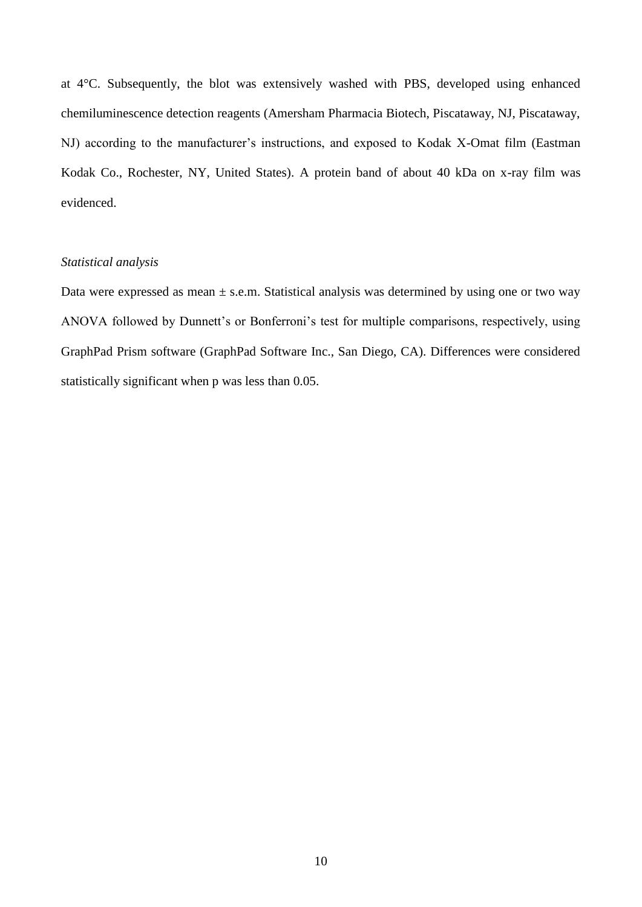at 4°C. Subsequently, the blot was extensively washed with PBS, developed using enhanced chemiluminescence detection reagents (Amersham Pharmacia Biotech, Piscataway, NJ, Piscataway, NJ) according to the manufacturer's instructions, and exposed to Kodak X-Omat film (Eastman Kodak Co., Rochester, NY, United States). A protein band of about 40 kDa on x-ray film was evidenced.

#### *Statistical analysis*

Data were expressed as mean  $\pm$  s.e.m. Statistical analysis was determined by using one or two way ANOVA followed by Dunnett's or Bonferroni's test for multiple comparisons, respectively, using GraphPad Prism software (GraphPad Software Inc., San Diego, CA). Differences were considered statistically significant when p was less than 0.05.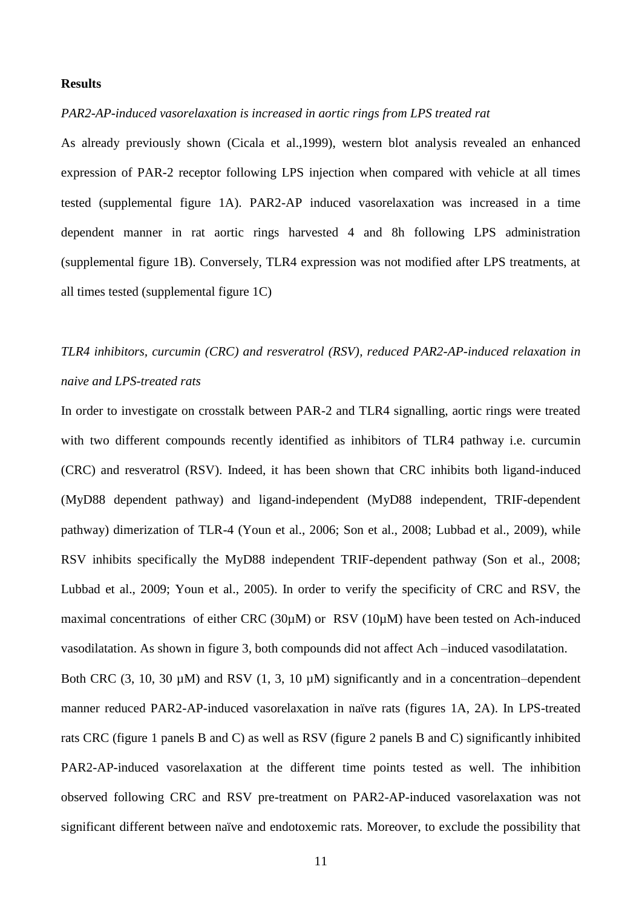# **Results**

# *PAR2-AP-induced vasorelaxation is increased in aortic rings from LPS treated rat*

As already previously shown (Cicala et al.,1999), western blot analysis revealed an enhanced expression of PAR-2 receptor following LPS injection when compared with vehicle at all times tested (supplemental figure 1A). PAR2-AP induced vasorelaxation was increased in a time dependent manner in rat aortic rings harvested 4 and 8h following LPS administration (supplemental figure 1B). Conversely, TLR4 expression was not modified after LPS treatments, at all times tested (supplemental figure 1C)

# *TLR4 inhibitors, curcumin (CRC) and resveratrol (RSV), reduced PAR2-AP-induced relaxation in naive and LPS-treated rats*

In order to investigate on crosstalk between PAR-2 and TLR4 signalling, aortic rings were treated with two different compounds recently identified as inhibitors of TLR4 pathway i.e. curcumin (CRC) and resveratrol (RSV). Indeed, it has been shown that CRC inhibits both ligand-induced (MyD88 dependent pathway) and ligand-independent (MyD88 independent, TRIF-dependent pathway) dimerization of TLR-4 (Youn et al., 2006; Son et al., 2008; Lubbad et al., 2009), while RSV inhibits specifically the MyD88 independent TRIF-dependent pathway (Son et al., 2008; Lubbad et al., 2009; Youn et al., 2005). In order to verify the specificity of CRC and RSV, the maximal concentrations of either CRC (30µM) or RSV (10µM) have been tested on Ach-induced vasodilatation. As shown in figure 3, both compounds did not affect Ach –induced vasodilatation.

Both CRC  $(3, 10, 30 \mu M)$  and RSV  $(1, 3, 10 \mu M)$  significantly and in a concentration–dependent manner reduced PAR2-AP-induced vasorelaxation in naïve rats (figures 1A, 2A). In LPS-treated rats CRC (figure 1 panels B and C) as well as RSV (figure 2 panels B and C) significantly inhibited PAR2-AP-induced vasorelaxation at the different time points tested as well. The inhibition observed following CRC and RSV pre-treatment on PAR2-AP-induced vasorelaxation was not significant different between naïve and endotoxemic rats. Moreover, to exclude the possibility that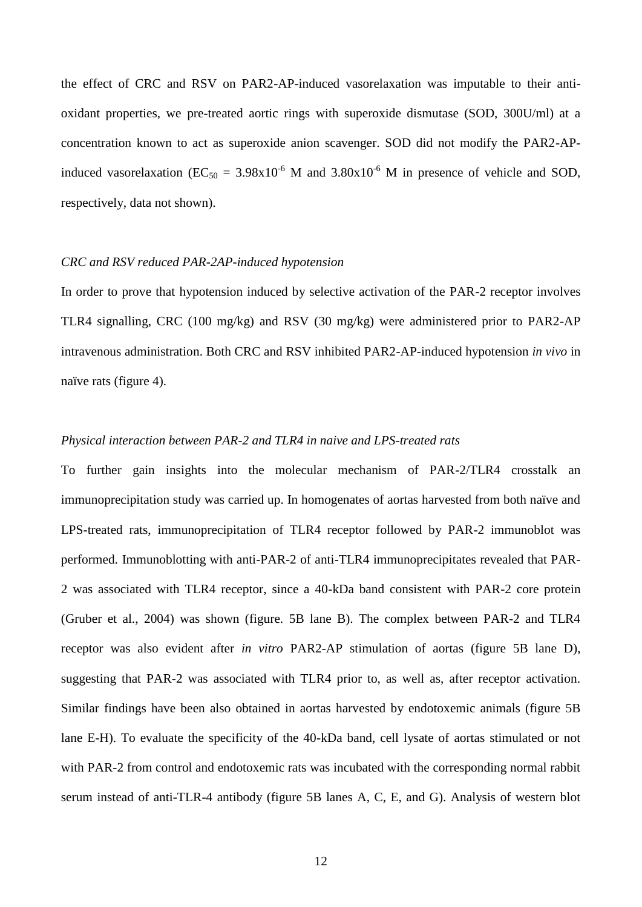the effect of CRC and RSV on PAR2-AP-induced vasorelaxation was imputable to their antioxidant properties, we pre-treated aortic rings with superoxide dismutase (SOD, 300U/ml) at a concentration known to act as superoxide anion scavenger. SOD did not modify the PAR2-APinduced vasorelaxation ( $EC_{50} = 3.98 \times 10^{-6}$  M and  $3.80 \times 10^{-6}$  M in presence of vehicle and SOD, respectively, data not shown).

#### *CRC and RSV reduced PAR-2AP-induced hypotension*

In order to prove that hypotension induced by selective activation of the PAR-2 receptor involves TLR4 signalling, CRC (100 mg/kg) and RSV (30 mg/kg) were administered prior to PAR2-AP intravenous administration. Both CRC and RSV inhibited PAR2-AP-induced hypotension *in vivo* in naïve rats (figure 4).

### *Physical interaction between PAR-2 and TLR4 in naive and LPS-treated rats*

To further gain insights into the molecular mechanism of PAR-2/TLR4 crosstalk an immunoprecipitation study was carried up. In homogenates of aortas harvested from both naïve and LPS-treated rats, immunoprecipitation of TLR4 receptor followed by PAR-2 immunoblot was performed. Immunoblotting with anti-PAR-2 of anti-TLR4 immunoprecipitates revealed that PAR-2 was associated with TLR4 receptor, since a 40-kDa band consistent with PAR-2 core protein (Gruber et al., 2004) was shown (figure. 5B lane B). The complex between PAR-2 and TLR4 receptor was also evident after *in vitro* PAR2-AP stimulation of aortas (figure 5B lane D), suggesting that PAR-2 was associated with TLR4 prior to, as well as, after receptor activation. Similar findings have been also obtained in aortas harvested by endotoxemic animals (figure 5B lane E-H). To evaluate the specificity of the 40-kDa band, cell lysate of aortas stimulated or not with PAR-2 from control and endotoxemic rats was incubated with the corresponding normal rabbit serum instead of anti-TLR-4 antibody (figure 5B lanes A, C, E, and G). Analysis of western blot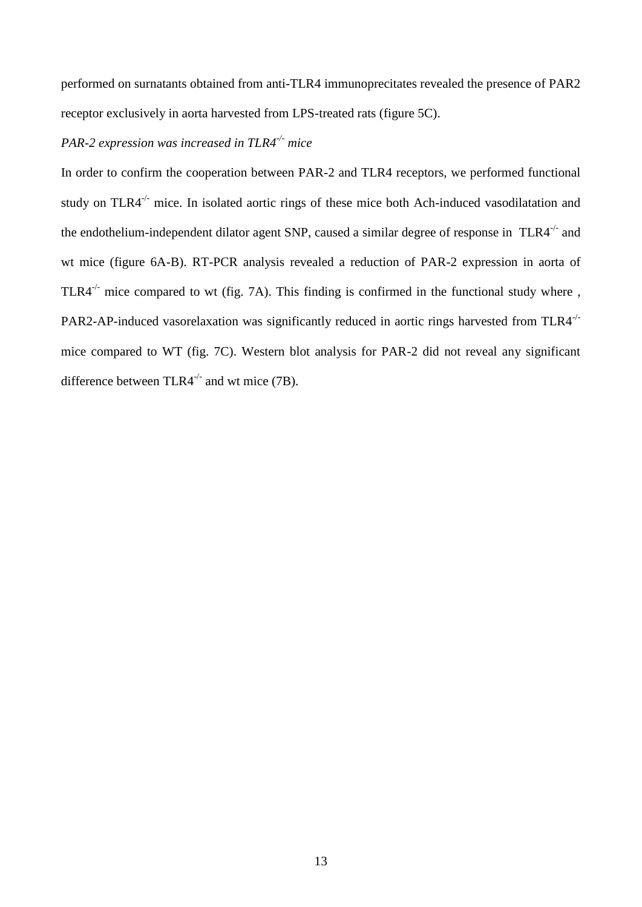performed on surnatants obtained from anti-TLR4 immunoprecitates revealed the presence of PAR2 receptor exclusively in aorta harvested from LPS-treated rats (figure 5C).

# *PAR-2 expression was increased in TLR4-/- mice*

In order to confirm the cooperation between PAR-2 and TLR4 receptors, we performed functional study on TLR4<sup>-/-</sup> mice. In isolated aortic rings of these mice both Ach-induced vasodilatation and the endothelium-independent dilator agent SNP, caused a similar degree of response in  $TLR4^{-/-}$  and wt mice (figure 6A-B). RT-PCR analysis revealed a reduction of PAR-2 expression in aorta of TLR4<sup> $-/-$ </sup> mice compared to wt (fig. 7A). This finding is confirmed in the functional study where, PAR2-AP-induced vasorelaxation was significantly reduced in aortic rings harvested from TLR4<sup>-/-</sup> mice compared to WT (fig. 7C). Western blot analysis for PAR-2 did not reveal any significant difference between TLR4<sup>-/-</sup> and wt mice (7B).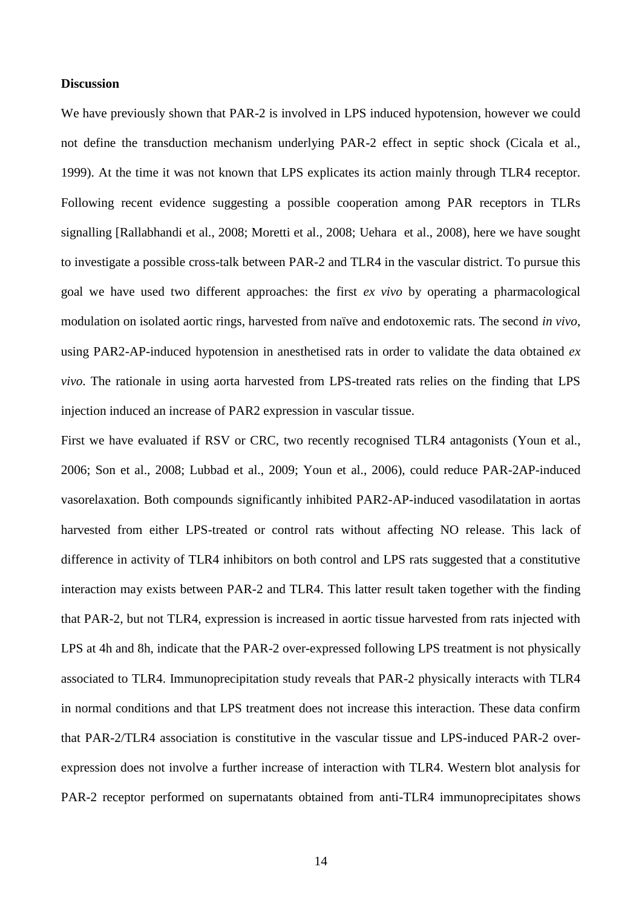# **Discussion**

We have previously shown that PAR-2 is involved in LPS induced hypotension, however we could not define the transduction mechanism underlying PAR-2 effect in septic shock (Cicala et al., 1999). At the time it was not known that LPS explicates its action mainly through TLR4 receptor. Following recent evidence suggesting a possible cooperation among PAR receptors in TLRs signalling [Rallabhandi et al., 2008; Moretti et al., 2008; Uehara et al., 2008), here we have sought to investigate a possible cross-talk between PAR-2 and TLR4 in the vascular district. To pursue this goal we have used two different approaches: the first *ex vivo* by operating a pharmacological modulation on isolated aortic rings, harvested from naïve and endotoxemic rats. The second *in vivo*, using PAR2-AP-induced hypotension in anesthetised rats in order to validate the data obtained *ex vivo*. The rationale in using aorta harvested from LPS-treated rats relies on the finding that LPS injection induced an increase of PAR2 expression in vascular tissue.

First we have evaluated if RSV or CRC, two recently recognised TLR4 antagonists (Youn et al., 2006; Son et al., 2008; Lubbad et al., 2009; Youn et al., 2006), could reduce PAR-2AP-induced vasorelaxation. Both compounds significantly inhibited PAR2-AP-induced vasodilatation in aortas harvested from either LPS-treated or control rats without affecting NO release. This lack of difference in activity of TLR4 inhibitors on both control and LPS rats suggested that a constitutive interaction may exists between PAR-2 and TLR4. This latter result taken together with the finding that PAR-2, but not TLR4, expression is increased in aortic tissue harvested from rats injected with LPS at 4h and 8h, indicate that the PAR-2 over-expressed following LPS treatment is not physically associated to TLR4. Immunoprecipitation study reveals that PAR-2 physically interacts with TLR4 in normal conditions and that LPS treatment does not increase this interaction. These data confirm that PAR-2/TLR4 association is constitutive in the vascular tissue and LPS-induced PAR-2 overexpression does not involve a further increase of interaction with TLR4. Western blot analysis for PAR-2 receptor performed on supernatants obtained from anti-TLR4 immunoprecipitates shows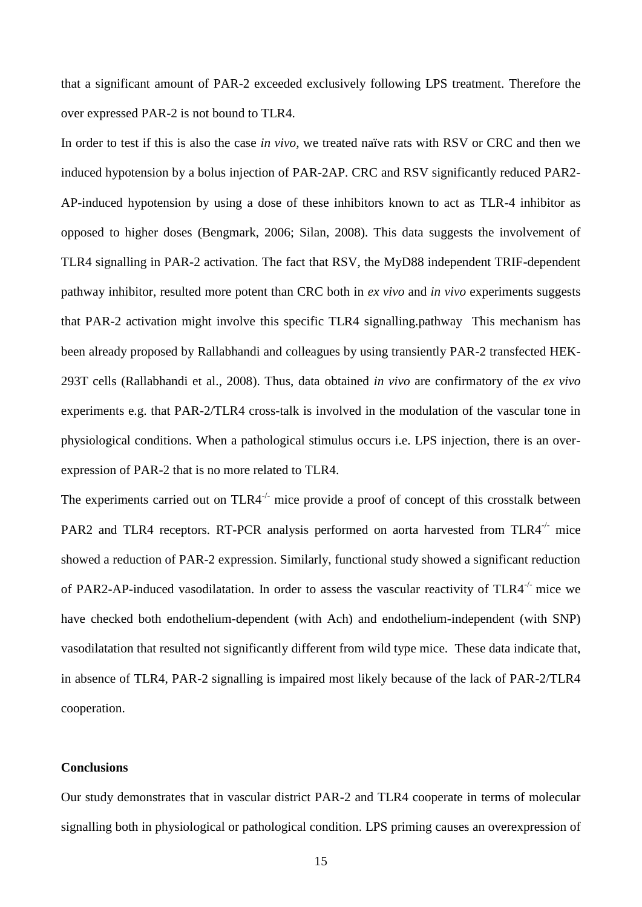that a significant amount of PAR-2 exceeded exclusively following LPS treatment. Therefore the over expressed PAR-2 is not bound to TLR4.

In order to test if this is also the case *in vivo,* we treated naïve rats with RSV or CRC and then we induced hypotension by a bolus injection of PAR-2AP. CRC and RSV significantly reduced PAR2- AP-induced hypotension by using a dose of these inhibitors known to act as TLR-4 inhibitor as opposed to higher doses (Bengmark, 2006; Silan, 2008). This data suggests the involvement of TLR4 signalling in PAR-2 activation. The fact that RSV, the MyD88 independent TRIF-dependent pathway inhibitor, resulted more potent than CRC both in *ex vivo* and *in vivo* experiments suggests that PAR-2 activation might involve this specific TLR4 signalling.pathway This mechanism has been already proposed by Rallabhandi and colleagues by using transiently PAR-2 transfected HEK-293T cells (Rallabhandi et al., 2008). Thus, data obtained *in vivo* are confirmatory of the *ex vivo* experiments e.g. that PAR-2/TLR4 cross-talk is involved in the modulation of the vascular tone in physiological conditions. When a pathological stimulus occurs i.e. LPS injection, there is an overexpression of PAR-2 that is no more related to TLR4.

The experiments carried out on  $TLR4^{-/-}$  mice provide a proof of concept of this crosstalk between PAR2 and TLR4 receptors. RT-PCR analysis performed on aorta harvested from TLR4<sup>-/-</sup> mice showed a reduction of PAR-2 expression. Similarly, functional study showed a significant reduction of PAR2-AP-induced vasodilatation. In order to assess the vascular reactivity of TLR4-/- mice we have checked both endothelium-dependent (with Ach) and endothelium-independent (with SNP) vasodilatation that resulted not significantly different from wild type mice. These data indicate that, in absence of TLR4, PAR-2 signalling is impaired most likely because of the lack of PAR-2/TLR4 cooperation.

#### **Conclusions**

Our study demonstrates that in vascular district PAR-2 and TLR4 cooperate in terms of molecular signalling both in physiological or pathological condition. LPS priming causes an overexpression of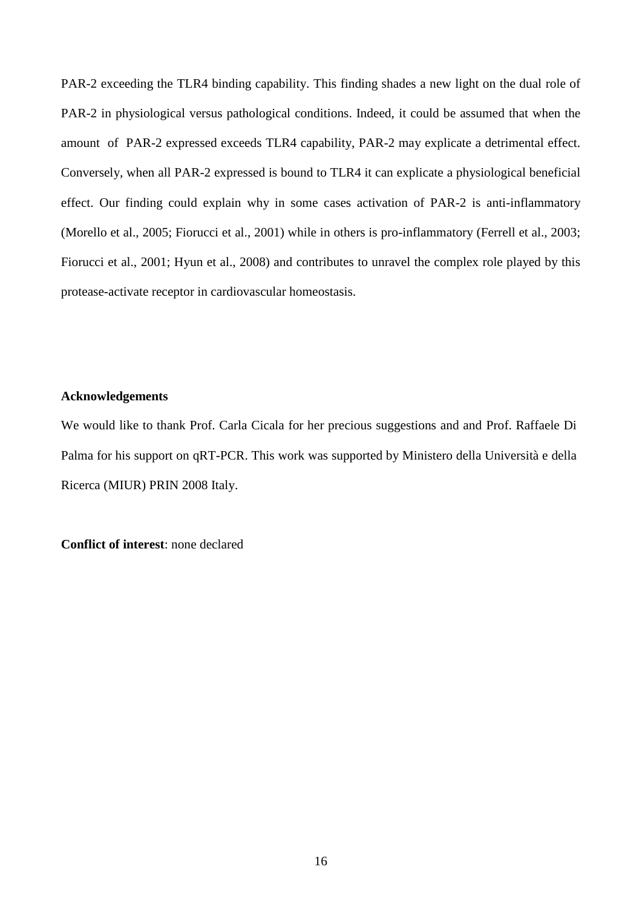PAR-2 exceeding the TLR4 binding capability. This finding shades a new light on the dual role of PAR-2 in physiological versus pathological conditions. Indeed, it could be assumed that when the amount of PAR-2 expressed exceeds TLR4 capability, PAR-2 may explicate a detrimental effect. Conversely, when all PAR-2 expressed is bound to TLR4 it can explicate a physiological beneficial effect. Our finding could explain why in some cases activation of PAR-2 is anti-inflammatory (Morello et al., 2005; Fiorucci et al., 2001) while in others is pro-inflammatory (Ferrell et al., 2003; Fiorucci et al., 2001; Hyun et al., 2008) and contributes to unravel the complex role played by this protease-activate receptor in cardiovascular homeostasis.

# **Acknowledgements**

We would like to thank Prof. Carla Cicala for her precious suggestions and and Prof. Raffaele Di Palma for his support on qRT-PCR. This work was supported by Ministero della Università e della Ricerca (MIUR) PRIN 2008 Italy.

**Conflict of interest**: none declared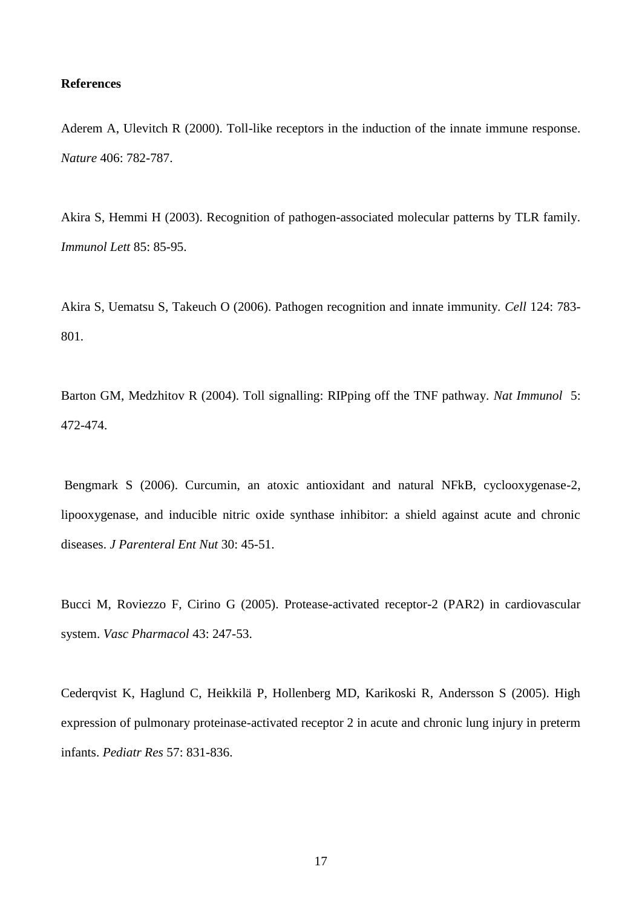# **References**

Aderem A, Ulevitch R (2000). Toll-like receptors in the induction of the innate immune response. *Nature* 406: 782-787.

Akira S, Hemmi H (2003). Recognition of pathogen-associated molecular patterns by TLR family. *Immunol Lett* 85: 85-95.

Akira S, Uematsu S, Takeuch O (2006). Pathogen recognition and innate immunity. *Cell* 124: 783- 801.

Barton GM, Medzhitov R (2004). Toll signalling: RIPping off the TNF pathway. *Nat Immunol* 5: 472-474.

Bengmark S (2006). Curcumin, an atoxic antioxidant and natural NFkB, cyclooxygenase-2, lipooxygenase, and inducible nitric oxide synthase inhibitor: a shield against acute and chronic diseases. *J Parenteral Ent Nut* 30: 45-51.

Bucci M, Roviezzo F, Cirino G (2005). Protease-activated receptor-2 (PAR2) in cardiovascular system. *Vasc Pharmacol* 43: 247-53.

Cederqvist K, Haglund C, Heikkilä P, Hollenberg MD, Karikoski R, Andersson S (2005). High expression of pulmonary proteinase-activated receptor 2 in acute and chronic lung injury in preterm infants. *Pediatr Res* 57: 831-836.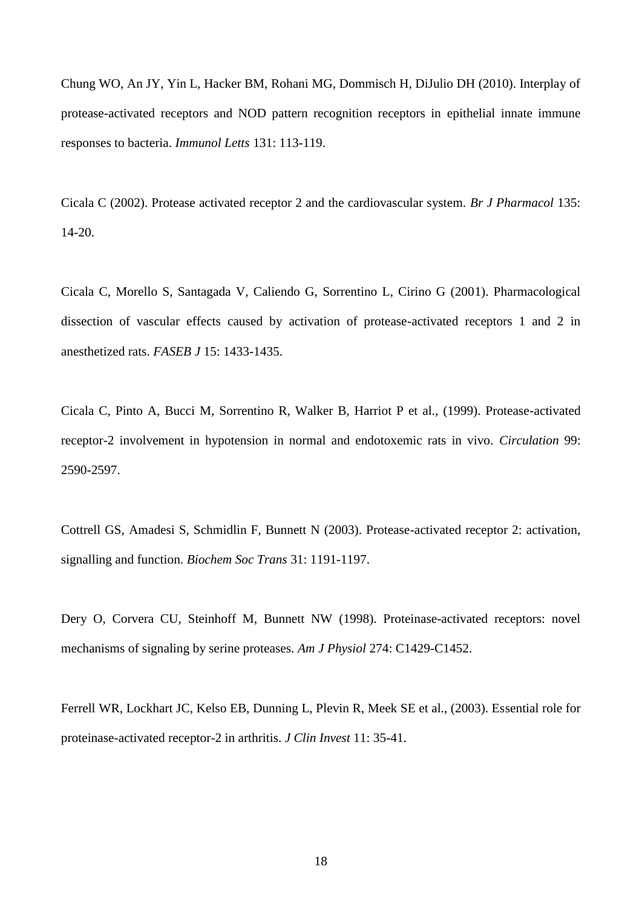Chung WO, An JY, Yin L, Hacker BM, Rohani MG, Dommisch H, DiJulio DH (2010). Interplay of protease-activated receptors and NOD pattern recognition receptors in epithelial innate immune responses to bacteria. *Immunol Letts* 131: 113-119.

Cicala C (2002). Protease activated receptor 2 and the cardiovascular system. *Br J Pharmacol* 135: 14-20.

Cicala C, Morello S, Santagada V, Caliendo G, Sorrentino L, Cirino G (2001). Pharmacological dissection of vascular effects caused by activation of protease-activated receptors 1 and 2 in anesthetized rats. *FASEB J* 15: 1433-1435.

Cicala C, Pinto A, Bucci M, Sorrentino R, Walker B, Harriot P et al., (1999). Protease-activated receptor-2 involvement in hypotension in normal and endotoxemic rats in vivo. *Circulation* 99: 2590-2597.

Cottrell GS, Amadesi S, Schmidlin F, Bunnett N (2003). Protease-activated receptor 2: activation, signalling and function. *Biochem Soc Trans* 31: 1191-1197.

Dery O, Corvera CU, Steinhoff M, Bunnett NW (1998). Proteinase-activated receptors: novel mechanisms of signaling by serine proteases. *Am J Physiol* 274: C1429-C1452.

Ferrell WR, Lockhart JC, Kelso EB, Dunning L, Plevin R, Meek SE et al., (2003). Essential role for proteinase-activated receptor-2 in arthritis. *J Clin Invest* 11: 35-41.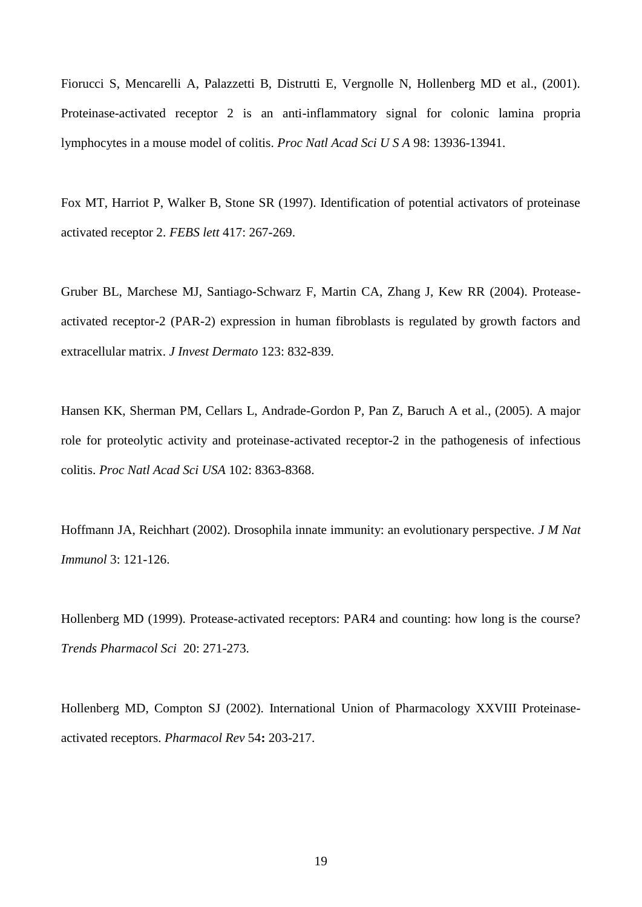Fiorucci S, Mencarelli A, Palazzetti B, Distrutti E, Vergnolle N, Hollenberg MD et al., (2001). Proteinase-activated receptor 2 is an anti-inflammatory signal for colonic lamina propria lymphocytes in a mouse model of colitis. *Proc Natl Acad Sci U S A* 98: 13936-13941.

Fox MT, Harriot P, Walker B, Stone SR (1997). Identification of potential activators of proteinase activated receptor 2. *FEBS lett* 417: 267-269.

Gruber BL, Marchese MJ, Santiago-Schwarz F, Martin CA, Zhang J, Kew RR (2004). Proteaseactivated receptor-2 (PAR-2) expression in human fibroblasts is regulated by growth factors and extracellular matrix. *J Invest Dermato* 123: 832-839.

Hansen KK, Sherman PM, Cellars L, Andrade-Gordon P, Pan Z, Baruch A et al., (2005). A major role for proteolytic activity and proteinase-activated receptor-2 in the pathogenesis of infectious colitis. *Proc Natl Acad Sci USA* 102: 8363-8368.

Hoffmann JA, Reichhart (2002). Drosophila innate immunity: an evolutionary perspective. *J M Nat Immunol* 3: 121-126.

Hollenberg MD (1999). Protease-activated receptors: PAR4 and counting: how long is the course? *Trends Pharmacol Sci* 20: 271-273.

Hollenberg MD, Compton SJ (2002). International Union of Pharmacology XXVIII Proteinaseactivated receptors. *Pharmacol Rev* 54**:** 203-217.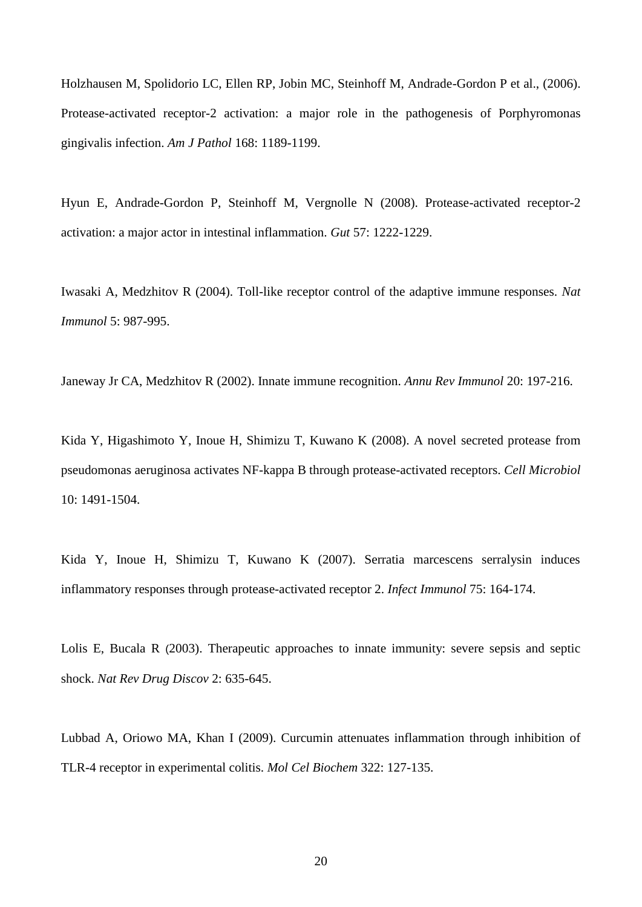Holzhausen M, Spolidorio LC, Ellen RP, Jobin MC, Steinhoff M, Andrade-Gordon P et al., (2006). Protease-activated receptor-2 activation: a major role in the pathogenesis of Porphyromonas gingivalis infection. *Am J Pathol* 168: 1189-1199.

Hyun E, Andrade-Gordon P, Steinhoff M, Vergnolle N (2008). Protease-activated receptor-2 activation: a major actor in intestinal inflammation. *Gut* 57: 1222-1229.

Iwasaki A, Medzhitov R (2004). Toll-like receptor control of the adaptive immune responses. *Nat Immunol* 5: 987-995.

Janeway Jr CA, Medzhitov R (2002). Innate immune recognition. *Annu Rev Immunol* 20: 197-216.

Kida Y, Higashimoto Y, Inoue H, Shimizu T, Kuwano K (2008). A novel secreted protease from pseudomonas aeruginosa activates NF-kappa B through protease-activated receptors. *Cell Microbiol* 10: 1491-1504.

Kida Y, Inoue H, Shimizu T, Kuwano K (2007). Serratia marcescens serralysin induces inflammatory responses through protease-activated receptor 2. *Infect Immunol* 75: 164-174.

Lolis E, Bucala R (2003). Therapeutic approaches to innate immunity: severe sepsis and septic shock. *Nat Rev Drug Discov* 2: 635-645.

Lubbad A, Oriowo MA, Khan I (2009). Curcumin attenuates inflammation through inhibition of TLR-4 receptor in experimental colitis. *Mol Cel Biochem* 322: 127-135.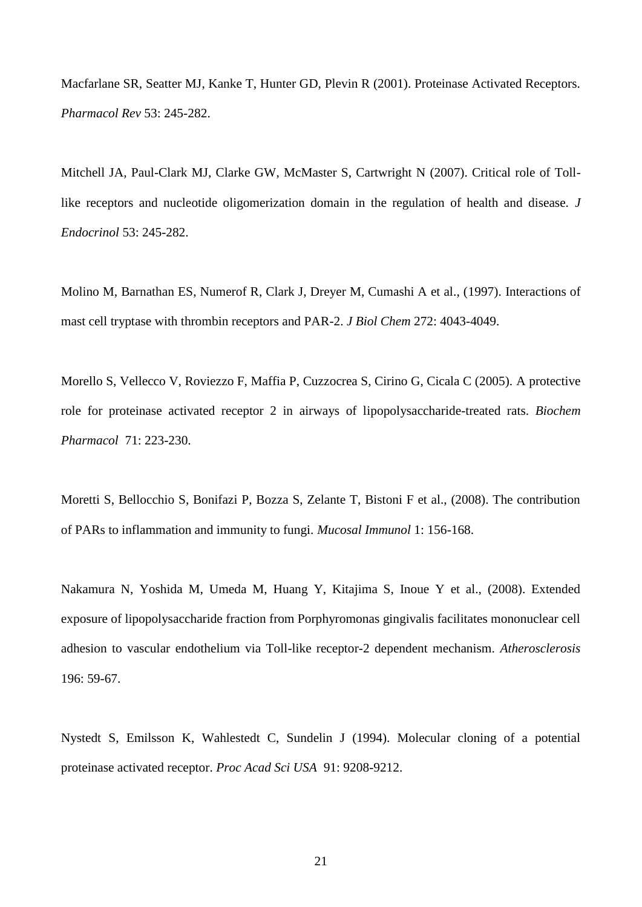Macfarlane SR, Seatter MJ, Kanke T, Hunter GD, Plevin R (2001). Proteinase Activated Receptors. *Pharmacol Rev* 53: 245-282.

Mitchell JA, Paul-Clark MJ, Clarke GW, McMaster S, Cartwright N (2007). Critical role of Tolllike receptors and nucleotide oligomerization domain in the regulation of health and disease. *J Endocrinol* 53: 245-282.

Molino M, Barnathan ES, Numerof R, Clark J, Dreyer M, Cumashi A et al., (1997). Interactions of mast cell tryptase with thrombin receptors and PAR-2. *J Biol Chem* 272: 4043-4049.

Morello S, Vellecco V, Roviezzo F, Maffia P, Cuzzocrea S, Cirino G, Cicala C (2005). A protective role for proteinase activated receptor 2 in airways of lipopolysaccharide-treated rats. *Biochem Pharmacol* 71: 223-230.

Moretti S, Bellocchio S, Bonifazi P, Bozza S, Zelante T, Bistoni F et al., (2008). The contribution of PARs to inflammation and immunity to fungi. *Mucosal Immunol* 1: 156-168.

Nakamura N, Yoshida M, Umeda M, Huang Y, Kitajima S, Inoue Y et al., (2008). Extended exposure of lipopolysaccharide fraction from Porphyromonas gingivalis facilitates mononuclear cell adhesion to vascular endothelium via Toll-like receptor-2 dependent mechanism. *Atherosclerosis*  196: 59-67.

Nystedt S, Emilsson K, Wahlestedt C, Sundelin J (1994). Molecular cloning of a potential proteinase activated receptor. *Proc Acad Sci USA* 91: 9208-9212.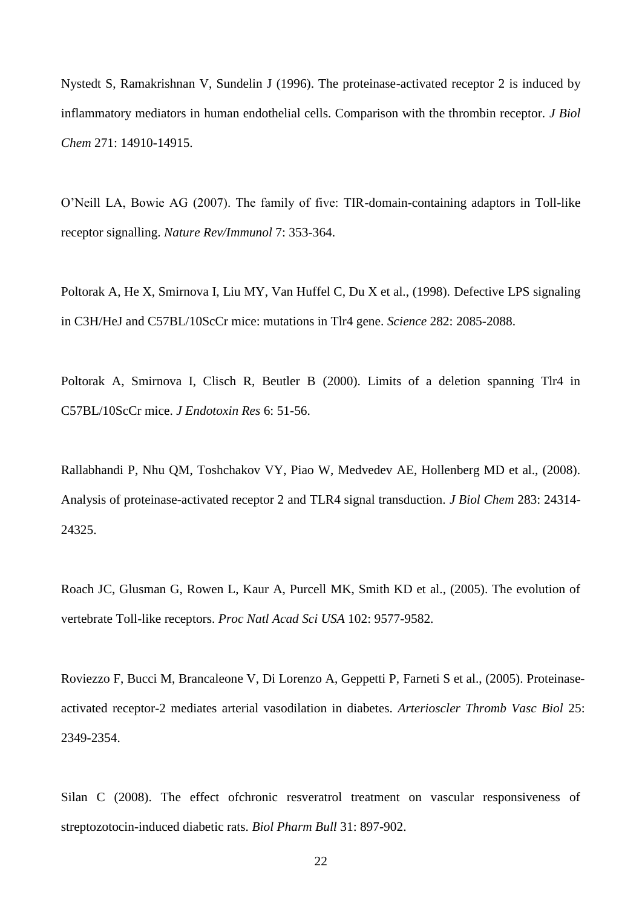Nystedt S, Ramakrishnan V, Sundelin J (1996). The proteinase-activated receptor 2 is induced by inflammatory mediators in human endothelial cells. Comparison with the thrombin receptor. *J Biol Chem* 271: 14910-14915.

O'Neill LA, Bowie AG (2007). The family of five: TIR-domain-containing adaptors in Toll-like receptor signalling. *Nature Rev/Immunol* 7: 353-364.

Poltorak A, He X, Smirnova I, Liu MY, Van Huffel C, Du X et al., (1998). Defective LPS signaling in C3H/HeJ and C57BL/10ScCr mice: mutations in Tlr4 gene. *Science* 282: 2085-2088.

Poltorak A, Smirnova I, Clisch R, Beutler B (2000). Limits of a deletion spanning Tlr4 in C57BL/10ScCr mice. *J Endotoxin Res* 6: 51-56.

Rallabhandi P, Nhu QM, Toshchakov VY, Piao W, Medvedev AE, Hollenberg MD et al., (2008). Analysis of proteinase-activated receptor 2 and TLR4 signal transduction. *J Biol Chem* 283: 24314- 24325.

Roach JC, Glusman G, Rowen L, Kaur A, Purcell MK, Smith KD et al., (2005). The evolution of vertebrate Toll-like receptors. *Proc Natl Acad Sci USA* 102: 9577-9582.

Roviezzo F, Bucci M, Brancaleone V, Di Lorenzo A, Geppetti P, Farneti S et al., (2005). Proteinaseactivated receptor-2 mediates arterial vasodilation in diabetes. *Arterioscler Thromb Vasc Biol* 25: 2349-2354.

Silan C (2008). The effect ofchronic resveratrol treatment on vascular responsiveness of streptozotocin-induced diabetic rats. *Biol Pharm Bull* 31: 897-902.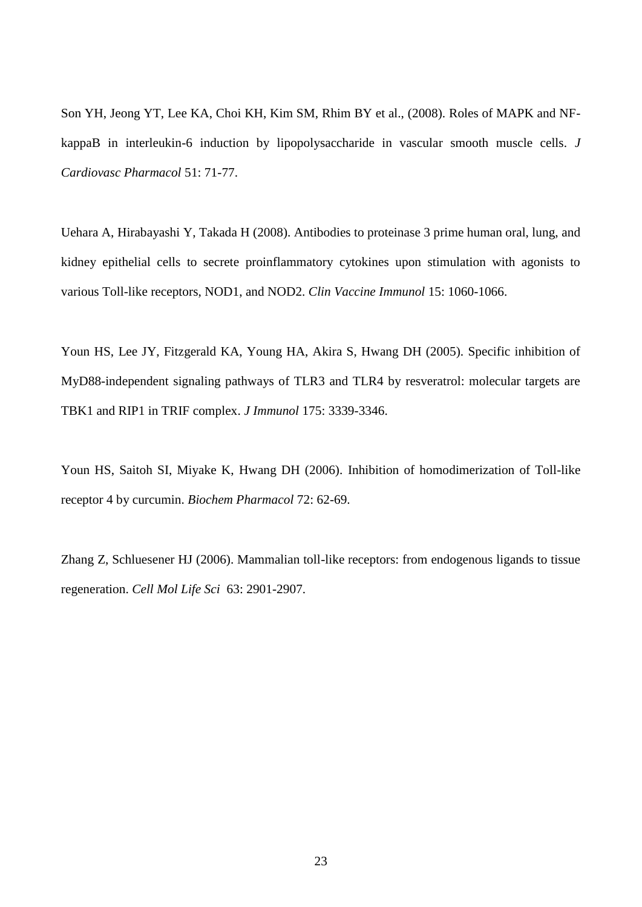Son YH, Jeong YT, Lee KA, Choi KH, Kim SM, Rhim BY et al., (2008). Roles of MAPK and NFkappaB in interleukin-6 induction by lipopolysaccharide in vascular smooth muscle cells. *J Cardiovasc Pharmacol* 51: 71-77.

Uehara A, Hirabayashi Y, Takada H (2008). Antibodies to proteinase 3 prime human oral, lung, and kidney epithelial cells to secrete proinflammatory cytokines upon stimulation with agonists to various Toll-like receptors, NOD1, and NOD2. *Clin Vaccine Immunol* 15: 1060-1066.

Youn HS, Lee JY, Fitzgerald KA, Young HA, Akira S, Hwang DH (2005). Specific inhibition of MyD88-independent signaling pathways of TLR3 and TLR4 by resveratrol: molecular targets are TBK1 and RIP1 in TRIF complex. *J Immunol* 175: 3339-3346.

Youn HS, Saitoh SI, Miyake K, Hwang DH (2006). Inhibition of homodimerization of Toll-like receptor 4 by curcumin. *Biochem Pharmacol* 72: 62-69.

Zhang Z, Schluesener HJ (2006). Mammalian toll-like receptors: from endogenous ligands to tissue regeneration. *Cell Mol Life Sci* 63: 2901-2907.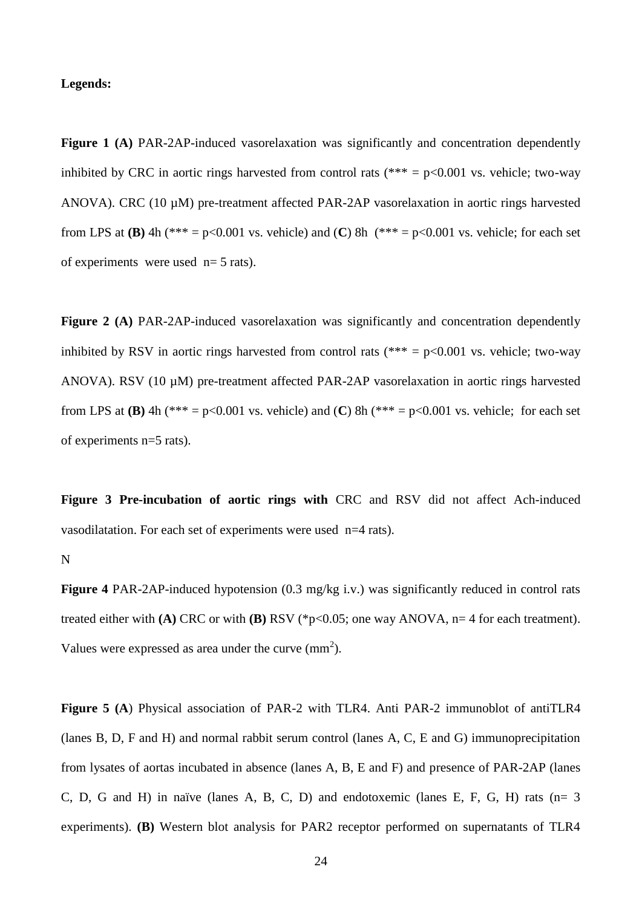#### **Legends:**

**Figure 1 (A)** PAR-2AP-induced vasorelaxation was significantly and concentration dependently inhibited by CRC in aortic rings harvested from control rats (\*\*\* =  $p<0.001$  vs. vehicle; two-way ANOVA). CRC (10 µM) pre-treatment affected PAR-2AP vasorelaxation in aortic rings harvested from LPS at **(B)** 4h (\*\*\* = p<0.001 vs. vehicle) and **(C)** 8h (\*\*\* = p<0.001 vs. vehicle; for each set of experiments were used n= 5 rats).

**Figure 2 (A)** PAR-2AP-induced vasorelaxation was significantly and concentration dependently inhibited by RSV in aortic rings harvested from control rats (\*\*\* =  $p$  < 0.001 vs. vehicle; two-way ANOVA). RSV (10 µM) pre-treatment affected PAR-2AP vasorelaxation in aortic rings harvested from LPS at **(B)** 4h (\*\*\* = p<0.001 vs. vehicle) and **(C)** 8h (\*\*\* = p<0.001 vs. vehicle; for each set of experiments n=5 rats).

**Figure 3 Pre-incubation of aortic rings with** CRC and RSV did not affect Ach-induced vasodilatation. For each set of experiments were used n=4 rats).

# N

**Figure 4** PAR-2AP-induced hypotension (0.3 mg/kg i.v.) was significantly reduced in control rats treated either with **(A)** CRC or with **(B)** RSV (\*p<0.05; one way ANOVA, n= 4 for each treatment). Values were expressed as area under the curve  $\text{(mm}^2)$ .

**Figure 5 (A**) Physical association of PAR-2 with TLR4. Anti PAR-2 immunoblot of antiTLR4 (lanes B, D, F and H) and normal rabbit serum control (lanes A, C, E and G) immunoprecipitation from lysates of aortas incubated in absence (lanes A, B, E and F) and presence of PAR-2AP (lanes C, D, G and H) in naïve (lanes A, B, C, D) and endotoxemic (lanes E, F, G, H) rats (n= 3 experiments). **(B)** Western blot analysis for PAR2 receptor performed on supernatants of TLR4